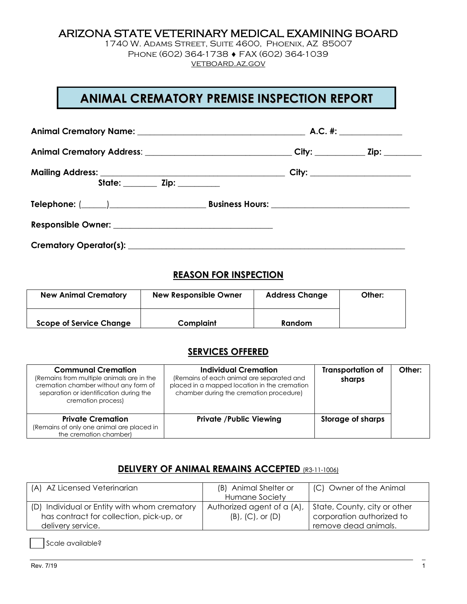## ARIZONA STATE VETERINARY MEDICAL EXAMINING BOARD

1740 W. Adams Street, Suite 4600, Phoenix, AZ 85007 Phone (602) 364-1738 ♦ FAX (602) 364-1039 [vetboard.az.gov](http://www.vetboard.az.gov/)

# **ANIMAL CREMATORY PREMISE INSPECTION REPORT**

| Animal Crematory Address: ________________________________City: _____________Zip: __________________ |  |
|------------------------------------------------------------------------------------------------------|--|
|                                                                                                      |  |
|                                                                                                      |  |
|                                                                                                      |  |
|                                                                                                      |  |

### **REASON FOR INSPECTION**

| <b>New Animal Crematory</b>    | <b>New Responsible Owner</b> | <b>Address Change</b> | Other: |
|--------------------------------|------------------------------|-----------------------|--------|
| <b>Scope of Service Change</b> | Complaint                    | Random                |        |

### **SERVICES OFFERED**

| <b>Communal Cremation</b><br>(Remains from multiple animals are in the<br>cremation chamber without any form of<br>separation or identification during the<br>cremation process) | <b>Individual Cremation</b><br>(Remains of each animal are separated and<br>placed in a mapped location in the cremation<br>chamber during the cremation procedure) | <b>Transportation of</b><br>sharps | Other: |
|----------------------------------------------------------------------------------------------------------------------------------------------------------------------------------|---------------------------------------------------------------------------------------------------------------------------------------------------------------------|------------------------------------|--------|
| <b>Private Cremation</b><br>(Remains of only one animal are placed in<br>the cremation chamber)                                                                                  | <b>Private /Public Viewing</b>                                                                                                                                      | <b>Storage of sharps</b>           |        |

# **DELIVERY OF ANIMAL REMAINS ACCEPTED** (R3-11-1006)

| (A) AZ Licensed Veterinarian                 | (B) Animal Shelter or      | (C) Owner of the Animal      |
|----------------------------------------------|----------------------------|------------------------------|
|                                              | Humane Society             |                              |
| (D) Individual or Entity with whom crematory | Authorized agent of a (A), | State, County, city or other |
| has contract for collection, pick-up, or     | $(B)$ , $(C)$ , or $(D)$   | corporation authorized to    |
| delivery service.                            |                            | remove dead animals.         |

Scale available?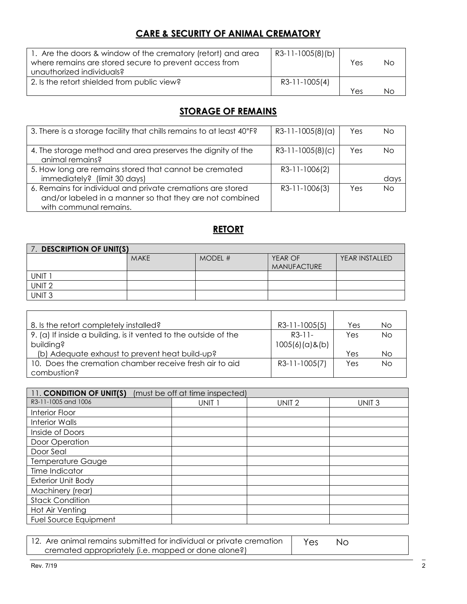# **CARE & SECURITY OF ANIMAL CREMATORY**

| 1. Are the doors & window of the crematory (retort) and area<br>where remains are stored secure to prevent access from<br>unauthorized individuals? | R3-11-1005(8)(b) | Yes | NΩ |
|-----------------------------------------------------------------------------------------------------------------------------------------------------|------------------|-----|----|
| 2. Is the retort shielded from public view?                                                                                                         | R3-11-1005(4)    | Yes | NС |

# **STORAGE OF REMAINS**

| 3. There is a storage facility that chills remains to at least 40°F?                                                    | $R3-11-1005(8)(a)$ | Yes | Nο        |
|-------------------------------------------------------------------------------------------------------------------------|--------------------|-----|-----------|
| 4. The storage method and area preserves the dignity of the<br>animal remains?                                          | $R3-11-1005(8)(c)$ | Yes | Nο        |
| 5. How long are remains stored that cannot be cremated                                                                  | R3-11-1006(2)      |     |           |
| immediately? (limit 30 days)                                                                                            |                    |     | days      |
| 6. Remains for individual and private cremations are stored<br>and/or labeled in a manner so that they are not combined | R3-11-1006(3)      | Yes | <b>No</b> |
| with communal remains.                                                                                                  |                    |     |           |
|                                                                                                                         |                    |     |           |

# **RETORT**

| <b>DESCRIPTION OF UNIT(S)</b> |             |           |                    |                |
|-------------------------------|-------------|-----------|--------------------|----------------|
|                               | <b>MAKE</b> | $MODEL$ # | YEAR OF            | YEAR INSTALLED |
|                               |             |           | <b>MANUFACTURE</b> |                |
| UNIT                          |             |           |                    |                |
| UNIT <sub>2</sub>             |             |           |                    |                |
| UNIT <sub>3</sub>             |             |           |                    |                |

| 8. Is the retort completely installed?                          | R3-11-1005(5)     | Yes | No. |
|-----------------------------------------------------------------|-------------------|-----|-----|
| 9. (a) If inside a building, is it vented to the outside of the | $R3-11-$          | Yes | Nο  |
| building?                                                       | $1005(6)(a)$ &(b) |     |     |
| (b) Adequate exhaust to prevent heat build-up?                  |                   | Yes | Νo  |
| 10. Does the cremation chamber receive fresh air to aid         | R3-11-1005(7)     | Yes | Nο  |
| combustion?                                                     |                   |     |     |

| 11. CONDITION OF UNIT(S)  | (must be off at time inspected) |                   |                   |
|---------------------------|---------------------------------|-------------------|-------------------|
| R3-11-1005 and 1006       | UNIT 1                          | UNIT <sub>2</sub> | UNIT <sub>3</sub> |
| <b>Interior Floor</b>     |                                 |                   |                   |
| <b>Interior Walls</b>     |                                 |                   |                   |
| Inside of Doors           |                                 |                   |                   |
| Door Operation            |                                 |                   |                   |
| Door Seal                 |                                 |                   |                   |
| <b>Temperature Gauge</b>  |                                 |                   |                   |
| Time Indicator            |                                 |                   |                   |
| <b>Exterior Unit Body</b> |                                 |                   |                   |
| Machinery (rear)          |                                 |                   |                   |
| <b>Stack Condition</b>    |                                 |                   |                   |
| Hot Air Venting           |                                 |                   |                   |
| Fuel Source Equipment     |                                 |                   |                   |

| 12. Are animal remains submitted for individual or private cremation | Yes | No. |  |
|----------------------------------------------------------------------|-----|-----|--|
| cremated appropriately (i.e. mapped or done alone?)                  |     |     |  |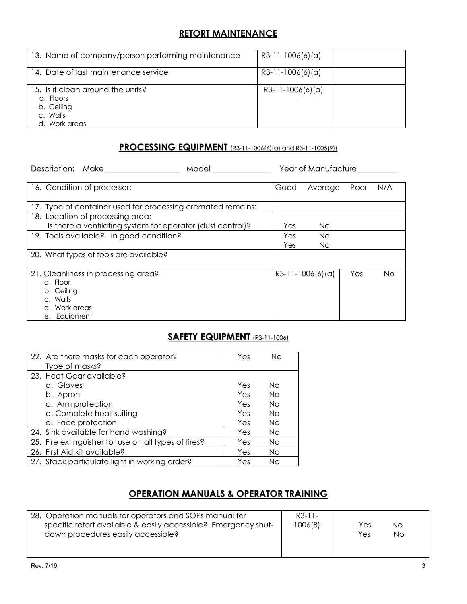## **RETORT MAINTENANCE**

| 13. Name of company/person performing maintenance                                         | $R3-11-1006(6)(a)$ |  |
|-------------------------------------------------------------------------------------------|--------------------|--|
| 14. Date of last maintenance service                                                      | $R3-11-1006(6)(a)$ |  |
| 15. Is it clean around the units?<br>a. Floors<br>b. Ceiling<br>c. Walls<br>d. Work areas | $R3-11-1006(6)(a)$ |  |

#### **PROCESSING EQUIPMENT** (R3-11-1006(6)(a) and R3-11-1005(9))

| Description: Make                                           | Model | Year of Manufacture |                    |      |     |
|-------------------------------------------------------------|-------|---------------------|--------------------|------|-----|
| 16. Condition of processor:                                 |       | Good                | Average            | Poor | N/A |
| 17. Type of container used for processing cremated remains: |       |                     |                    |      |     |
| 18. Location of processing area:                            |       |                     |                    |      |     |
| Is there a ventilating system for operator (dust control)?  |       | Yes                 | No.                |      |     |
| 19. Tools available? In good condition?                     |       | Yes                 | No.                |      |     |
|                                                             |       | Yes                 | No.                |      |     |
| 20. What types of tools are available?                      |       |                     |                    |      |     |
| 21. Cleanliness in processing area?                         |       |                     | $R3-11-1006(6)(a)$ | Yes  | No. |
| a. Floor                                                    |       |                     |                    |      |     |
| b. Ceiling                                                  |       |                     |                    |      |     |
| c. Walls                                                    |       |                     |                    |      |     |
| d. Work areas                                               |       |                     |                    |      |     |
| e. Equipment                                                |       |                     |                    |      |     |

# **SAFETY EQUIPMENT** (R3-11-1006)

| 22. Are there masks for each operator?               | Yes | Nο        |
|------------------------------------------------------|-----|-----------|
| Type of masks?                                       |     |           |
| 23. Heat Gear available?                             |     |           |
| a. Gloves                                            | Yes | Nο        |
| b. Apron                                             | Yes | Nο        |
| c. Arm protection                                    | Yes | Nο        |
| d. Complete heat suiting                             | Yes | Nο        |
| e. Face protection                                   | Yes | <b>No</b> |
| 24. Sink available for hand washing?                 | Yes | <b>No</b> |
| 25. Fire extinguisher for use on all types of fires? | Yes | No.       |
| 26. First Aid kit available?                         | Yes | <b>No</b> |
| 27. Stack particulate light in working order?        | Yes | Νo        |

# **OPERATION MANUALS & OPERATOR TRAINING**

| 28. Operation manuals for operators and SOPs manual for<br>specific retort available & easily accessible? Emergency shut-<br>down procedures easily accessible? | $R3-11-$<br>1006(8) | Yes<br>Yes | Nο<br>No. |
|-----------------------------------------------------------------------------------------------------------------------------------------------------------------|---------------------|------------|-----------|
|                                                                                                                                                                 |                     |            |           |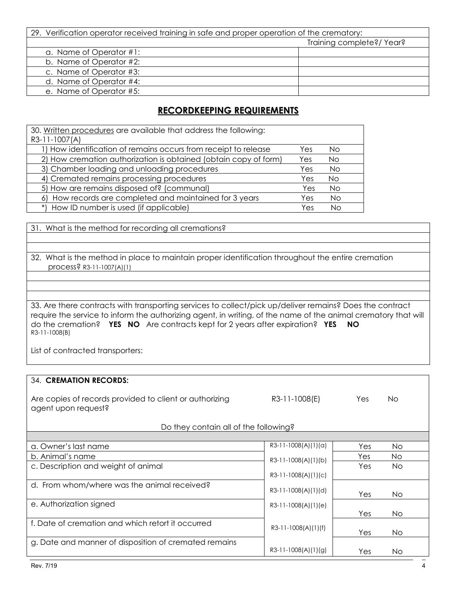| 29. Verification operator received training in safe and proper operation of the crematory: |                           |  |
|--------------------------------------------------------------------------------------------|---------------------------|--|
|                                                                                            | Training complete?/ Year? |  |
| a. Name of Operator #1:                                                                    |                           |  |
| b. Name of Operator #2:                                                                    |                           |  |
| c. Name of Operator #3:                                                                    |                           |  |
| d. Name of Operator #4:                                                                    |                           |  |
| e. Name of Operator #5:                                                                    |                           |  |

# **RECORDKEEPING REQUIREMENTS**

| 30. Written procedures are available that address the following: |     |           |
|------------------------------------------------------------------|-----|-----------|
| R3-11-1007(A)                                                    |     |           |
| 1) How identification of remains occurs from receipt to release  | Yes | No.       |
| 2) How cremation authorization is obtained (obtain copy of form) | Yes | <b>No</b> |
| 3) Chamber loading and unloading procedures                      | Yes | <b>No</b> |
| 4) Cremated remains processing procedures                        | Yes | <b>No</b> |
| 5) How are remains disposed of? (communal)                       | Yes | <b>No</b> |
| 6) How records are completed and maintained for 3 years          | Yes | <b>No</b> |
| *) How ID number is used (if applicable)                         | Yes | Nο        |

31. What is the method for recording all cremations?

32. What is the method in place to maintain proper identification throughout the entire cremation process? R3-11-1007(A)(1)

33. Are there contracts with transporting services to collect/pick up/deliver remains? Does the contract require the service to inform the authorizing agent, in writing, of the name of the animal crematory that will do the cremation? **YES NO** Are contracts kept for 2 years after expiration? **YES NO** R3-11-1008(B)

List of contracted transporters:

#### 34. **CREMATION RECORDS:**

| Are copies of records provided to client or authorizing | R3-11-1008(E) | Yes. | Νo |
|---------------------------------------------------------|---------------|------|----|
| agent upon request?                                     |               |      |    |

| Do they contain all of the following?                 |                       |     |     |
|-------------------------------------------------------|-----------------------|-----|-----|
|                                                       |                       |     |     |
| a. Owner's last name                                  | R3-11-1008(A)(1)(a)   | Yes | No. |
| b. Animal's name                                      | $R3-11-1008(A)(1)(b)$ | Yes | No. |
| c. Description and weight of animal                   |                       | Yes | No. |
|                                                       | R3-11-1008(A)(1)(c)   |     |     |
| d. From whom/where was the animal received?           | R3-11-1008(A)(1)(d)   |     |     |
|                                                       | Yes                   |     | No. |
| e. Authorization signed                               | R3-11-1008(A)(1)(e)   |     |     |
|                                                       |                       | Yes | No. |
| f. Date of cremation and which retort it occurred     | R3-11-1008(A)(1)(f)   |     |     |
|                                                       |                       | Yes | No. |
| g. Date and manner of disposition of cremated remains |                       |     |     |
|                                                       | R3-11-1008(A)(1)(g)   | Yes | No  |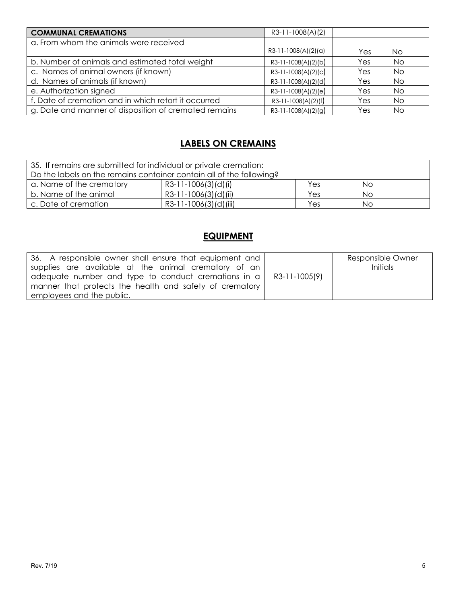| <b>COMMUNAL CREMATIONS</b>                            | R3-11-1008(A)(2)      |     |           |
|-------------------------------------------------------|-----------------------|-----|-----------|
| a. From whom the animals were received                |                       |     |           |
|                                                       | $R3-11-1008(A)(2)(a)$ | Yes | No        |
| b. Number of animals and estimated total weight       | R3-11-1008(A)(2)(b)   | Yes | <b>No</b> |
| c. Names of animal owners (if known)                  | $R3-11-1008(A)(2)(c)$ | Yes | No.       |
| d. Names of animals (if known)                        | R3-11-1008(A)(2)(d)   | Yes | No        |
| e. Authorization signed                               | $R3-11-1008(A)(2)(e)$ | Yes | No        |
| f. Date of cremation and in which retort it occurred  | R3-11-1008(A)(2)(f)   | Yes | No.       |
| g. Date and manner of disposition of cremated remains | $R3-11-1008(A)(2)(g)$ | Yes | No        |

# **LABELS ON CREMAINS**

| 35. If remains are submitted for individual or private cremation:    |                       |     |    |  |
|----------------------------------------------------------------------|-----------------------|-----|----|--|
| Do the labels on the remains container contain all of the following? |                       |     |    |  |
| a. Name of the crematory                                             | R3-11-1006(3)(d)(i)   | Yes | Νo |  |
| b. Name of the animal                                                | R3-11-1006(3)(d)(ii)  | Yes | Νo |  |
| c. Date of cremation                                                 | R3-11-1006(3)(d)(iii) | Yes | Nο |  |

# **EQUIPMENT**

| 36. A responsible owner shall ensure that equipment and<br>supplies are available at the animal crematory of an<br>adequate number and type to conduct cremations in $a \mid R3-11-1005(9)$<br>manner that protects the health and safety of crematory | Responsible Owner<br><i>Initials</i> |
|--------------------------------------------------------------------------------------------------------------------------------------------------------------------------------------------------------------------------------------------------------|--------------------------------------|
| employees and the public.                                                                                                                                                                                                                              |                                      |